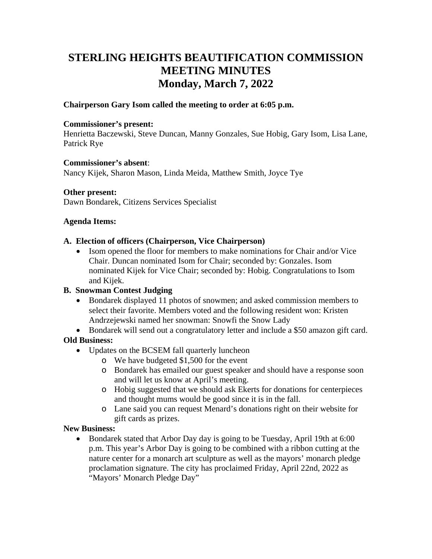# **STERLING HEIGHTS BEAUTIFICATION COMMISSION MEETING MINUTES Monday, March 7, 2022**

## **Chairperson Gary Isom called the meeting to order at 6:05 p.m.**

#### **Commissioner's present:**

Henrietta Baczewski, Steve Duncan, Manny Gonzales, Sue Hobig, Gary Isom, Lisa Lane, Patrick Rye

#### **Commissioner's absent**:

Nancy Kijek, Sharon Mason, Linda Meida, Matthew Smith, Joyce Tye

#### **Other present:**

Dawn Bondarek, Citizens Services Specialist

#### **Agenda Items:**

## **A. Election of officers (Chairperson, Vice Chairperson)**

• Isom opened the floor for members to make nominations for Chair and/or Vice Chair. Duncan nominated Isom for Chair; seconded by: Gonzales. Isom nominated Kijek for Vice Chair; seconded by: Hobig. Congratulations to Isom and Kijek.

# **B. Snowman Contest Judging**

• Bondarek displayed 11 photos of snowmen; and asked commission members to select their favorite. Members voted and the following resident won: Kristen Andrzejewski named her snowman: Snowfi the Snow Lady

• Bondarek will send out a congratulatory letter and include a \$50 amazon gift card. **Old Business:** 

- Updates on the BCSEM fall quarterly luncheon
	- o We have budgeted \$1,500 for the event
	- o Bondarek has emailed our guest speaker and should have a response soon and will let us know at April's meeting.
	- o Hobig suggested that we should ask Ekerts for donations for centerpieces and thought mums would be good since it is in the fall.
	- o Lane said you can request Menard's donations right on their website for gift cards as prizes.

## **New Business:**

• Bondarek stated that Arbor Day day is going to be Tuesday, April 19th at 6:00 p.m. This year's Arbor Day is going to be combined with a ribbon cutting at the nature center for a monarch art sculpture as well as the mayors' monarch pledge proclamation signature. The city has proclaimed Friday, April 22nd, 2022 as "Mayors' Monarch Pledge Day"